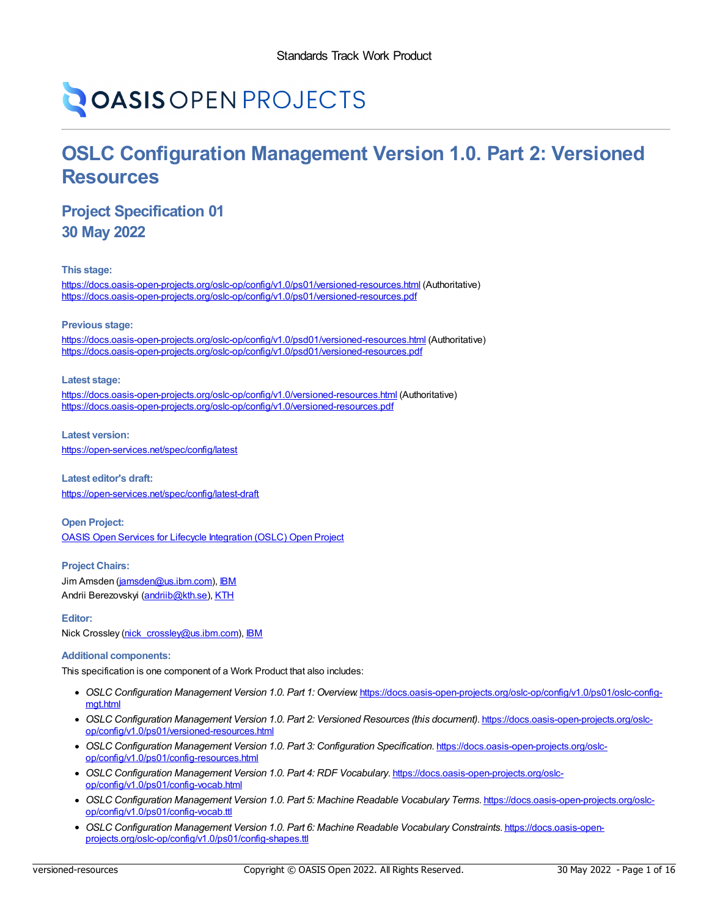# **OASIS OPEN PROJECTS**

# **OSLC Configuration Management Version 1.0. Part 2: Versioned Resources**

### **Project Specification 01 30 May 2022**

**This stage:**

<https://docs.oasis-open-projects.org/oslc-op/config/v1.0/ps01/versioned-resources.html> (Authoritative) <https://docs.oasis-open-projects.org/oslc-op/config/v1.0/ps01/versioned-resources.pdf>

**Previous stage:**

<https://docs.oasis-open-projects.org/oslc-op/config/v1.0/psd01/versioned-resources.html> (Authoritative) <https://docs.oasis-open-projects.org/oslc-op/config/v1.0/psd01/versioned-resources.pdf>

**Latest stage:**

<https://docs.oasis-open-projects.org/oslc-op/config/v1.0/versioned-resources.html> (Authoritative) <https://docs.oasis-open-projects.org/oslc-op/config/v1.0/versioned-resources.pdf>

**Latest version:**

<https://open-services.net/spec/config/latest>

**Latest editor's draft:** <https://open-services.net/spec/config/latest-draft>

**Open Project:** OASIS Open Services for Lifecycle [Integration](https://open-services.net/about/) (OSLC) Open Project

**Project Chairs:** Jim Amsden [\(jamsden@us.ibm.com](mailto:jamsden@us.ibm.com)), [IBM](https://www.ibm.com/) Andrii Berezovskyi [\(andriib@kth.se](mailto:andriib@kth.se)), [KTH](https://www.kth.se/en)

**Editor:** Nick Crossley [\(nick\\_crossley@us.ibm.com\)](mailto:nick_crossley@us.ibm.com), [IBM](https://ibm.com/)

#### **Additional components:**

This specification is one component of a Work Product that also includes:

- *OSLC Configuration Management Version 1.0. Part 1: Overview*. [https://docs.oasis-open-projects.org/oslc-op/config/v1.0/ps01/oslc-config](https://docs.oasis-open-projects.org/oslc-op/config/v1.0/ps01/oslc-config-mgt.html) mgt.html
- *OSLC Configuration Management Version 1.0. Part 2: Versioned Resources (this document)*. [https://docs.oasis-open-projects.org/oslc](https://docs.oasis-open-projects.org/oslc-op/config/v1.0/ps01/versioned-resources.html)op/config/v1.0/ps01/versioned-resources.html
- *OSLC Configuration Management Version 1.0. Part 3: Configuration Specification*. [https://docs.oasis-open-projects.org/oslc](https://docs.oasis-open-projects.org/oslc-op/config/v1.0/ps01/config-resources.html)op/config/v1.0/ps01/config-resources.html
- *OSLC Configuration Management Version 1.0. Part 4: RDF Vocabulary*. [https://docs.oasis-open-projects.org/oslc](https://docs.oasis-open-projects.org/oslc-op/config/v1.0/ps01/config-vocab.html)op/config/v1.0/ps01/config-vocab.html
- *OSLC Configuration Management Version 1.0. Part 5: Machine Readable Vocabulary Terms*. [https://docs.oasis-open-projects.org/oslc](https://docs.oasis-open-projects.org/oslc-op/config/v1.0/ps01/config-vocab.ttl)op/config/v1.0/ps01/config-vocab.ttl
- *OSLC Configuration Management Version 1.0. Part 6: Machine Readable Vocabulary Constraints*. https://docs.oasis-open[projects.org/oslc-op/config/v1.0/ps01/config-shapes.ttl](https://docs.oasis-open-projects.org/oslc-op/config/v1.0/ps01/config-shapes.ttl)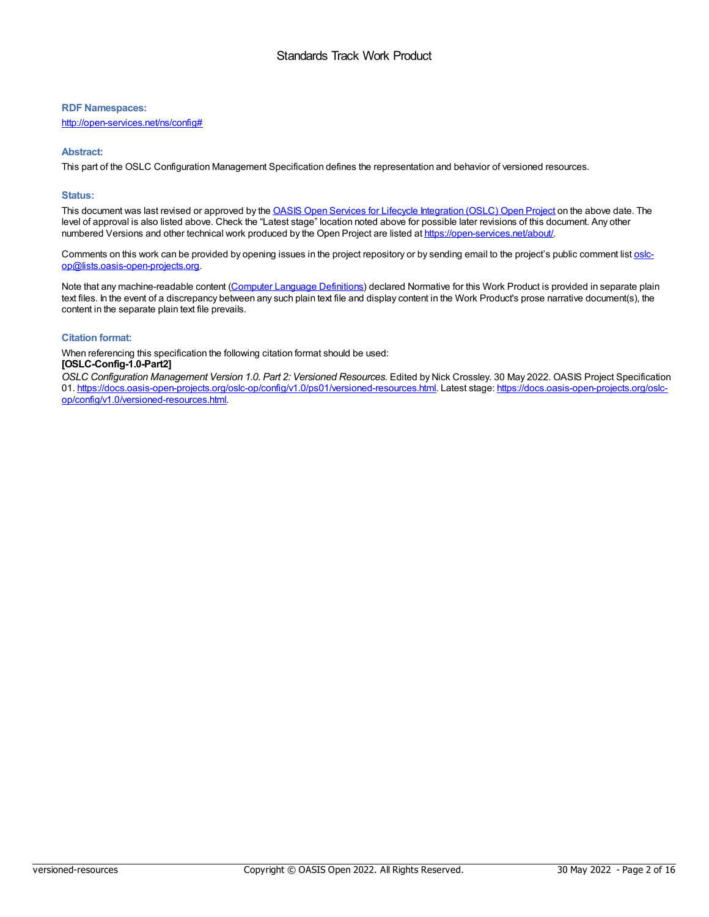#### **RDF Namespaces:**

<http://open-services.net/ns/config#>

#### **Abstract:**

This part of the OSLC Configuration Management Specification defines the representation and behavior of versioned resources.

#### **Status:**

This document was last revised or approved by the OASIS Open Services for Lifecycle [Integration](https://open-services.net/about/) (OSLC) Open Project on the above date. The level of approval is also listed above. Check the "Latest stage" location noted above for possible later revisions of this document. Any other numbered Versions and other technical work produced by the Open Project are listed at [https://open-services.net/about/.](https://open-services.net/about/)

Comments on this work can be provided by opening issues in the project repository or by sending email to the project's public comment list oslc[op@lists.oasis-open-projects.org.](mailto:oslc-op@lists.oasis-open-projects.org)

Note that any machine-readable content (Computer Language [Definitions](https://www.oasis-open.org/policies-guidelines/tc-process-2017-05-26/#wpComponentsCompLang)) declared Normative for this Work Product is provided in separate plain text files. In the event of a discrepancy between any such plain text file and display content in the Work Product's prose narrative document(s), the content in the separate plain text file prevails.

#### **Citation format:**

When referencing this specification the following citation format should be used:

#### **[OSLC-Config-1.0-Part2]**

*OSLC Configuration Management Version 1.0. Part 2: Versioned Resources*. Edited by Nick Crossley. 30 May 2022. OASIS Project Specification 01. [https://docs.oasis-open-projects.org/oslc-op/config/v1.0/ps01/versioned-resources.html.](https://docs.oasis-open-projects.org/oslc-op/config/v1.0/versioned-resources.html) Latest stage: https://docs.oasis-open-projects.org/oslcop/config/v1.0/versioned-resources.html.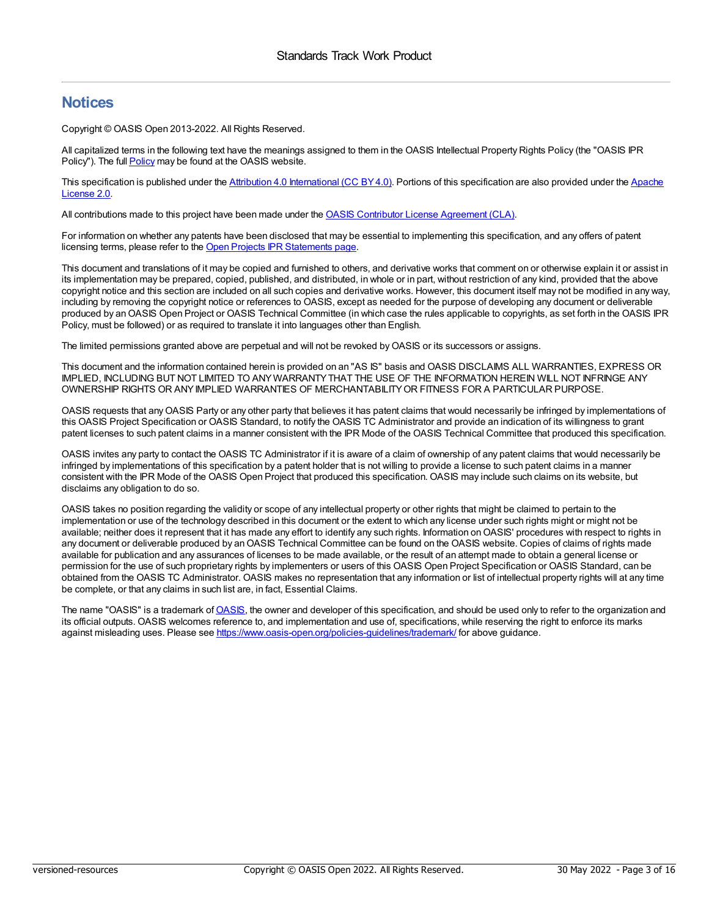### **Notices**

Copyright © OASIS Open 2013-2022. All Rights Reserved.

All capitalized terms in the following text have the meanings assigned to them in the OASIS Intellectual Property Rights Policy (the "OASIS IPR [Policy](https://www.oasis-open.org/policies-guidelines/ipr/)"). The full **Policy** may be found at the OASIS website.

This [specification](https://www.apache.org/licenses/LICENSE-2.0) is published under the Attribution 4.0 [International](https://creativecommons.org/licenses/by/4.0/legalcode) (CC BY4.0). Portions of this specification are also provided under the Apache License 2.0.

All contributions made to this project have been made under the OASIS Contributor License [Agreement](https://www.oasis-open.org/policies-guidelines/open-projects-process/#individual-cla-exhibit) (CLA).

For information on whether any patents have been disclosed that may be essential to implementing this specification, and any offers of patent licensing terms, please refer to the Open Projects IPR [Statements](https://github.com/oasis-open-projects/administration/blob/master/IPR_STATEMENTS.md#open-services-for-lifecycle-collaboration-oslc-open-project) page.

This document and translations of it may be copied and furnished to others, and derivative works that comment on or otherwise explain it or assist in its implementation may be prepared, copied, published, and distributed, in whole or in part, without restriction of any kind, provided that the above copyright notice and this section are included on all such copies and derivative works. However, this document itself may not be modified in any way, including by removing the copyright notice or references to OASIS, except as needed for the purpose of developing any document or deliverable produced by an OASIS Open Project or OASIS Technical Committee (in which case the rules applicable to copyrights, as set forth in the OASIS IPR Policy, must be followed) or as required to translate it into languages other than English.

The limited permissions granted above are perpetual and will not be revoked byOASIS or its successors or assigns.

This document and the information contained herein is provided on an "AS IS" basis and OASIS DISCLAIMS ALL WARRANTIES, EXPRESS OR IMPLIED, INCLUDING BUT NOT LIMITED TO ANYWARRANTYTHAT THE USE OF THE INFORMATION HEREIN WILL NOT INFRINGE ANY OWNERSHIP RIGHTS OR ANYIMPLIED WARRANTIES OF MERCHANTABILITYOR FITNESS FOR A PARTICULAR PURPOSE.

OASIS requests that anyOASIS Party or any other party that believes it has patent claims that would necessarily be infringed by implementations of this OASIS Project Specification or OASIS Standard, to notify the OASIS TC Administrator and provide an indication of its willingness to grant patent licenses to such patent claims in a manner consistent with the IPR Mode of the OASIS Technical Committee that produced this specification.

OASIS invites any party to contact the OASIS TC Administrator if it is aware of a claim of ownership of any patent claims that would necessarily be infringed by implementations of this specification by a patent holder that is not willing to provide a license to such patent claims in a manner consistent with the IPR Mode of the OASIS Open Project that produced this specification. OASIS may include such claims on its website, but disclaims any obligation to do so.

OASIS takes no position regarding the validity or scope of any intellectual property or other rights that might be claimed to pertain to the implementation or use of the technology described in this document or the extent to which any license under such rights might or might not be available; neither does it represent that it has made any effort to identify any such rights. Information on OASIS' procedures with respect to rights in any document or deliverable produced by an OASIS Technical Committee can be found on the OASIS website. Copies of claims of rights made available for publication and any assurances of licenses to be made available, or the result of an attempt made to obtain a general license or permission for the use of such proprietary rights by implementers or users of this OASIS Open Project Specification or OASIS Standard, can be obtained from the OASIS TC Administrator. OASIS makes no representation that any information or list of intellectual property rights will at any time be complete, or that any claims in such list are, in fact, Essential Claims.

The name "OASIS" is a trademark of [OASIS,](https://www.oasis-open.org) the owner and developer of this specification, and should be used only to refer to the organization and its official outputs. OASIS welcomes reference to, and implementation and use of, specifications, while reserving the right to enforce its marks against misleading uses. Please see <https://www.oasis-open.org/policies-guidelines/trademark/> for above quidance.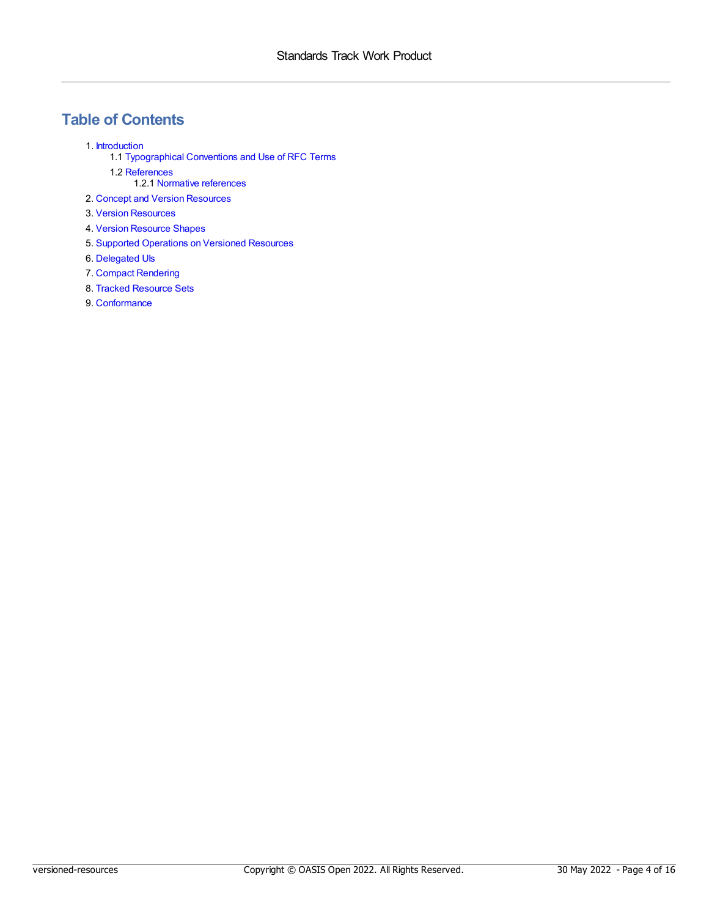# **Table of Contents**

- 1. [Introduction](#page-4-0)
	- 1.1 [Typographical](#page-4-1) Conventions and Use of RFC Terms
	- 1.2 [References](#page-4-2)
		- 1.2.1 Normative [references](#page-4-3)
- 2. Concept and Version [Resources](#page-5-0)
- 3. Version [Resources](#page-6-0)
- 4. Version [Resource](#page-8-0) Shapes
- 5. Supported [Operations](#page-10-0) on Versioned Resources
- 6. [Delegated](#page-11-0) UIs
- 7. Compact [Rendering](#page-12-0)
- 8. Tracked [Resource](#page-13-0) Sets
- 9. [Conformance](#page-14-0)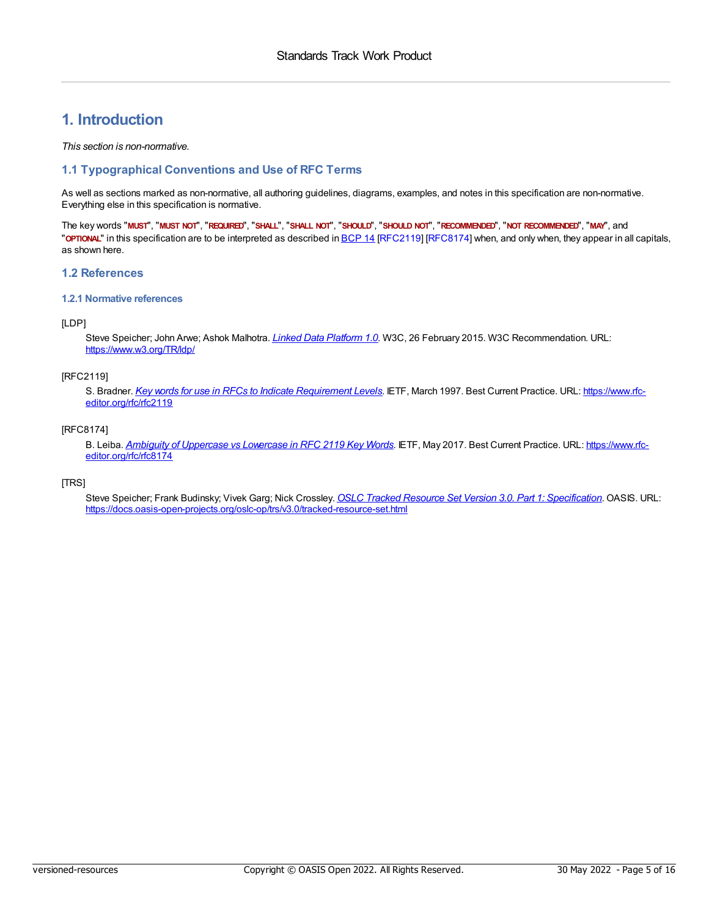### <span id="page-4-0"></span>**1. Introduction**

*This section is non-normative.*

#### <span id="page-4-1"></span>**1.1 Typographical Conventions and Use of RFC Terms**

As well as sections marked as non-normative, all authoring guidelines, diagrams, examples, and notes in this specification are non-normative. Everything else in this specification is normative.

The key words "MUST", "MUST NOT", "REQUIRED", "SHALL", "SHALL NOT", "SHOULD", "SHOULD NOT", "RECOMMENDED", "MOT RECOMMENDED", "MAY", and "**OPTIONAL**" in this specification are to be interpreted as described in [BCP](https://tools.ietf.org/html/bcp14) 14 [\[RFC2119](#page-4-4)] [\[RFC8174](#page-4-5)] when, and only when, they appear in all capitals, as shown here.

#### <span id="page-4-2"></span>**1.2 References**

#### <span id="page-4-3"></span>**1.2.1 Normative references**

#### <span id="page-4-6"></span>[LDP]

Steve Speicher; John Arwe; Ashok Malhotra. *Linked Data [Platform](https://www.w3.org/TR/ldp/) 1.0*. W3C, 26 February 2015. W3C Recommendation. URL: <https://www.w3.org/TR/ldp/>

#### <span id="page-4-4"></span>[RFC2119]

S. Bradner. *Key words for use in RFCs to Indicate [Requirement](https://www.rfc-editor.org/rfc/rfc2119) Levels*. IETF, March 1997. Best Current Practice. URL: https://www.rfc[editor.org/rfc/rfc2119](https://www.rfc-editor.org/rfc/rfc2119)

#### <span id="page-4-5"></span>[RFC8174]

B. Leiba. *Ambiguity of [Uppercase](https://www.rfc-editor.org/rfc/rfc8174) vs Lowercase in RFC 2119 Key Words*. IETF, May 2017. Best Current Practice. URL: https://www.rfc[editor.org/rfc/rfc8174](https://www.rfc-editor.org/rfc/rfc8174)

<span id="page-4-7"></span>[TRS]

Steve Speicher; Frank Budinsky; Vivek Garg; Nick Crossley. *OSLC Tracked Resource Set Version 3.0. Part 1: [Specification](https://docs.oasis-open-projects.org/oslc-op/trs/v3.0/tracked-resource-set.html)*. OASIS. URL: <https://docs.oasis-open-projects.org/oslc-op/trs/v3.0/tracked-resource-set.html>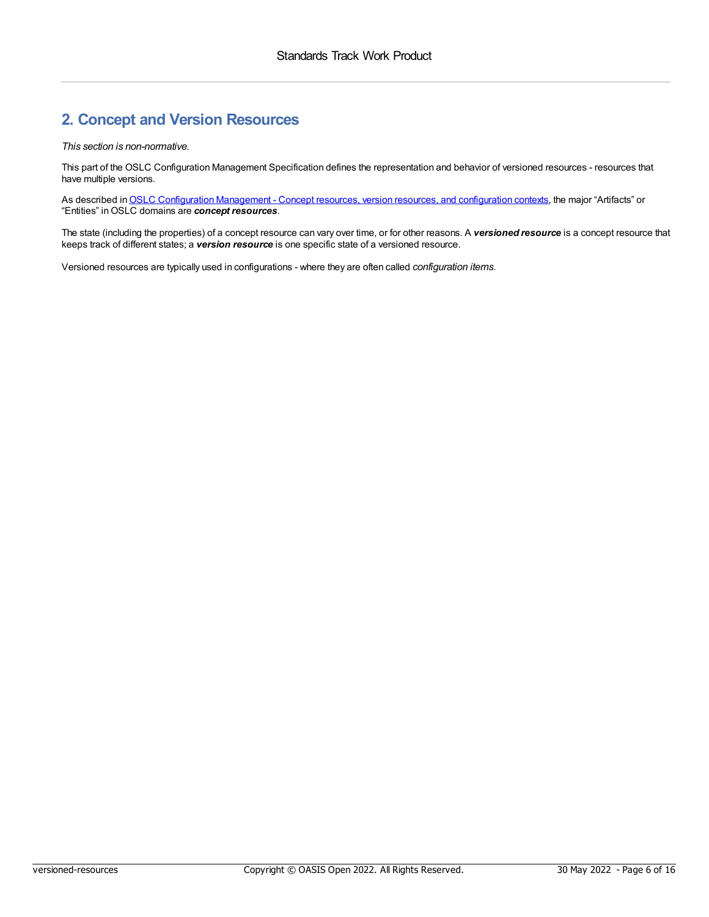### <span id="page-5-0"></span>**2. Concept and Version Resources**

#### *This section is non-normative.*

This part of the OSLC Configuration Management Specification defines the representation and behavior of versioned resources - resources that have multiple versions.

As described in **OSLC [Configuration](https://docs.oasis-open-projects.org/oslc-op/config/v1.0/ps01/oslc-config-mgt.html#concepts) Management - Concept resources**, version resources, and configuration contexts, the major "Artifacts" or "Entities" inOSLC domains are *concept resources*.

The state (including the properties) of a concept resource can vary over time, or for other reasons. A *versioned resource* is a concept resource that keeps track of different states; a *version resource* is one specific state of a versioned resource.

Versioned resources are typically used in configurations - where they are often called *configuration items*.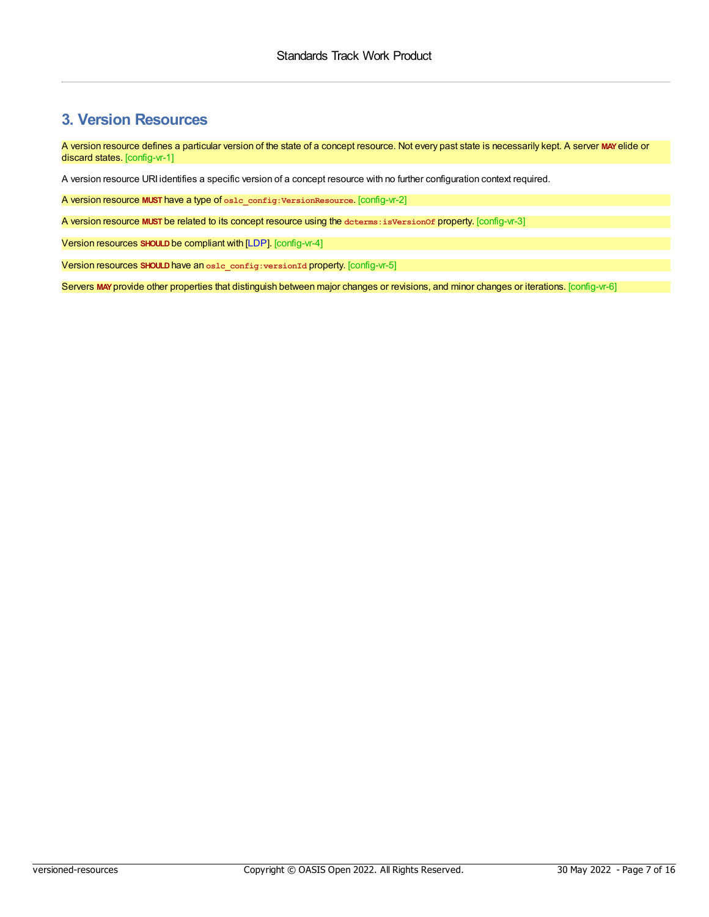### <span id="page-6-0"></span>**3. Version Resources**

<span id="page-6-1"></span>A version resource defines a particular version of the state of a concept resource. Not every past state is necessarily kept. A server **MAY**elide or discard states. [config-vr-1]

A version resource URI identifies a specific version of a concept resource with no further configuration context required.

<span id="page-6-2"></span>A version resource **MUST** have a type of **oslc\_config:VersionResource**. [config-vr-2]

<span id="page-6-3"></span>A version resource **MUST** be related to its concept resource using the **dcterms:isVersionOf** property. [config-vr-3]

<span id="page-6-4"></span>Version resources **SHOULD**be compliant with [\[LDP](#page-4-6)]. [config-vr-4]

<span id="page-6-5"></span>Version resources **SHOULD**have an **oslc\_config:versionId** property. [config-vr-5]

<span id="page-6-6"></span>Servers **MAY**provide other properties that distinguish between major changes or revisions, and minor changes or iterations. [config-vr-6]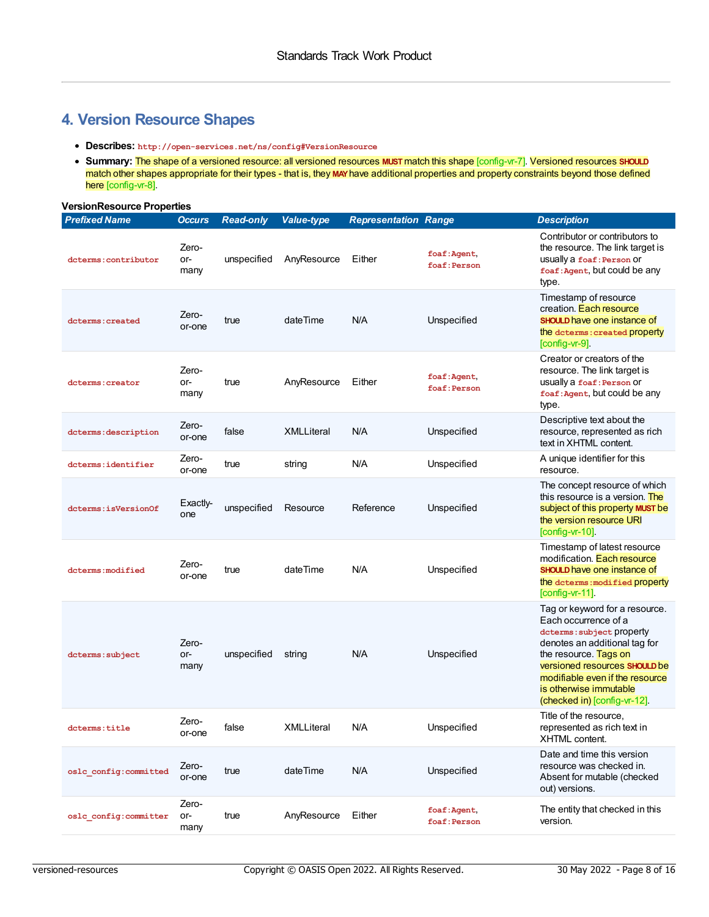### **4. Version Resource Shapes**

- **Describes: http://open-services.net/ns/config#VersionResource**
- <span id="page-7-1"></span><span id="page-7-0"></span>**Summary:** The shape of a versioned resource: all versioned resources **MUST**match this shape [config-vr-7]. Versioned resources **SHOULD** match other shapes appropriate for their types - that is, they **MAY**have additional properties and property constraints beyond those defined here [config-vr-8].

#### **VersionResource Properties**

<span id="page-7-5"></span><span id="page-7-4"></span><span id="page-7-3"></span><span id="page-7-2"></span>

| <b>Prefixed Name</b>   | <b>Occurs</b>        | <b>Read-only</b> | <b>Value-type</b> | <b>Representation Range</b> |                              | <b>Description</b>                                                                                                                                                                                                                                                          |
|------------------------|----------------------|------------------|-------------------|-----------------------------|------------------------------|-----------------------------------------------------------------------------------------------------------------------------------------------------------------------------------------------------------------------------------------------------------------------------|
| dcterms: contributor   | Zero-<br>or-<br>many | unspecified      | AnyResource       | Either                      | foaf:Agent,<br>foaf: Person  | Contributor or contributors to<br>the resource. The link target is<br>usually a foaf: Person Or<br>foaf: Agent, but could be any<br>type.                                                                                                                                   |
| dcterms: created       | Zero-<br>or-one      | true             | dateTime          | N/A                         | Unspecified                  | Timestamp of resource<br>creation. Each resource<br><b>SHOULD</b> have one instance of<br>the determs: created property<br>$[config-vr-9]$ .                                                                                                                                |
| dcterms: creator       | Zero-<br>or-<br>many | true             | AnyResource       | Either                      | foaf: Agent,<br>foaf: Person | Creator or creators of the<br>resource. The link target is<br>usually a foaf: Person Or<br>foaf: Agent, but could be any<br>type.                                                                                                                                           |
| dcterms: description   | Zero-<br>or-one      | false            | <b>XMLLiteral</b> | N/A                         | Unspecified                  | Descriptive text about the<br>resource, represented as rich<br>text in XHTML content.                                                                                                                                                                                       |
| dcterms:identifier     | Zero-<br>or-one      | true             | string            | N/A                         | Unspecified                  | A unique identifier for this<br>resource.                                                                                                                                                                                                                                   |
| dcterms:isVersionOf    | Exactly-<br>one      | unspecified      | Resource          | Reference                   | Unspecified                  | The concept resource of which<br>this resource is a version. The<br>subject of this property MUST be<br>the version resource URI<br>$[config-vr-10]$ .                                                                                                                      |
| dcterms: modified      | Zero-<br>or-one      | true             | dateTime          | N/A                         | Unspecified                  | Timestamp of latest resource<br>modification. Each resource<br><b>SHOULD</b> have one instance of<br>the dcterms: modified property<br>$[config-vr-11]$ .                                                                                                                   |
| dcterms: subject       | Zero-<br>or-<br>many | unspecified      | string            | N/A                         | Unspecified                  | Tag or keyword for a resource.<br>Each occurrence of a<br>dcterms: subject property<br>denotes an additional tag for<br>the resource. Tags on<br>versioned resources SHOULD be<br>modifiable even if the resource<br>is otherwise immutable<br>(checked in) [config-vr-12]. |
| dcterms:title          | Zero-<br>or-one      | false            | <b>XMLLiteral</b> | N/A                         | Unspecified                  | Title of the resource,<br>represented as rich text in<br>XHTML content.                                                                                                                                                                                                     |
| oslc config: committed | Zero-<br>or-one      | true             | dateTime          | N/A                         | Unspecified                  | Date and time this version<br>resource was checked in.<br>Absent for mutable (checked<br>out) versions.                                                                                                                                                                     |
| oslc config: committer | Zero-<br>or-<br>many | true             | AnyResource       | Either                      | foaf: Agent,<br>foaf: Person | The entity that checked in this<br>version.                                                                                                                                                                                                                                 |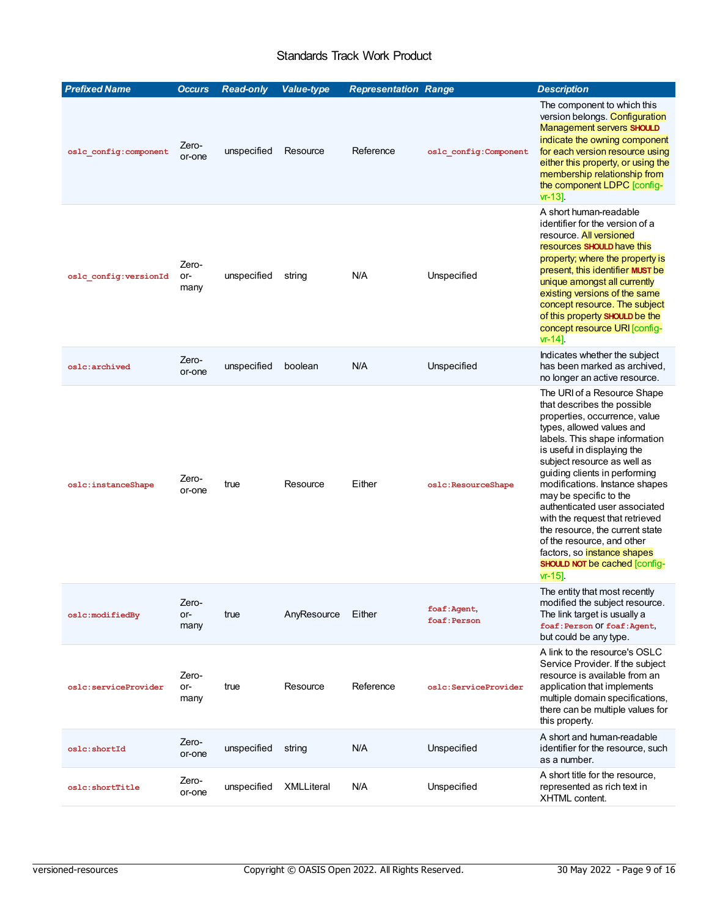### <span id="page-8-3"></span><span id="page-8-2"></span><span id="page-8-1"></span>Standards Track Work Product

<span id="page-8-0"></span>

| <b>Prefixed Name</b>   | <b>Occurs</b>        | <b>Read-only</b> | <b>Value-type</b> | <b>Representation Range</b> |                             | <b>Description</b>                                                                                                                                                                                                                                                                                                                                                                                                                                                                                                                                |
|------------------------|----------------------|------------------|-------------------|-----------------------------|-----------------------------|---------------------------------------------------------------------------------------------------------------------------------------------------------------------------------------------------------------------------------------------------------------------------------------------------------------------------------------------------------------------------------------------------------------------------------------------------------------------------------------------------------------------------------------------------|
| oslc config: component | Zero-<br>or-one      | unspecified      | Resource          | Reference                   | oslc config: Component      | The component to which this<br>version belongs. Configuration<br>Management servers SHOULD<br>indicate the owning component<br>for each version resource using<br>either this property, or using the<br>membership relationship from<br>the component LDPC [config-<br>$vr - 13$ ].                                                                                                                                                                                                                                                               |
| oslc config: versionId | Zero-<br>or-<br>many | unspecified      | string            | N/A                         | Unspecified                 | A short human-readable<br>identifier for the version of a<br>resource. All versioned<br>resources SHOULD have this<br>property; where the property is<br>present, this identifier MUST be<br>unique amongst all currently<br>existing versions of the same<br>concept resource. The subject<br>of this property SHOULD be the<br>concept resource URI [config-<br>$vr-14$ ].                                                                                                                                                                      |
| oslc:archived          | Zero-<br>or-one      | unspecified      | boolean           | N/A                         | Unspecified                 | Indicates whether the subject<br>has been marked as archived,<br>no longer an active resource.                                                                                                                                                                                                                                                                                                                                                                                                                                                    |
| oslc:instanceShape     | Zero-<br>or-one      | true             | Resource          | Either                      | oslc:ResourceShape          | The URI of a Resource Shape<br>that describes the possible<br>properties, occurrence, value<br>types, allowed values and<br>labels. This shape information<br>is useful in displaying the<br>subject resource as well as<br>guiding clients in performing<br>modifications. Instance shapes<br>may be specific to the<br>authenticated user associated<br>with the request that retrieved<br>the resource, the current state<br>of the resource, and other<br>factors, so instance shapes<br><b>SHOULD NOT be cached [config-</b><br>$vr - 15$ ]. |
| oslc:modifiedBy        | Zero-<br>or-<br>many | true             | AnyResource       | Either                      | foaf:Agent,<br>foaf: Person | The entity that most recently<br>modified the subject resource.<br>The link target is usually a<br>foaf: Person Of foaf: Agent,<br>but could be any type.                                                                                                                                                                                                                                                                                                                                                                                         |
| oslc:serviceProvider   | Zero-<br>or-<br>many | true             | Resource          | Reference                   | oslc:ServiceProvider        | A link to the resource's OSLC<br>Service Provider. If the subject<br>resource is available from an<br>application that implements<br>multiple domain specifications,<br>there can be multiple values for<br>this property.                                                                                                                                                                                                                                                                                                                        |
| oslc:shortId           | Zero-<br>or-one      | unspecified      | string            | N/A                         | Unspecified                 | A short and human-readable<br>identifier for the resource, such<br>as a number.                                                                                                                                                                                                                                                                                                                                                                                                                                                                   |
| oslc:shortTitle        | Zero-<br>or-one      | unspecified      | XMLLiteral        | N/A                         | Unspecified                 | A short title for the resource,<br>represented as rich text in<br>XHTML content.                                                                                                                                                                                                                                                                                                                                                                                                                                                                  |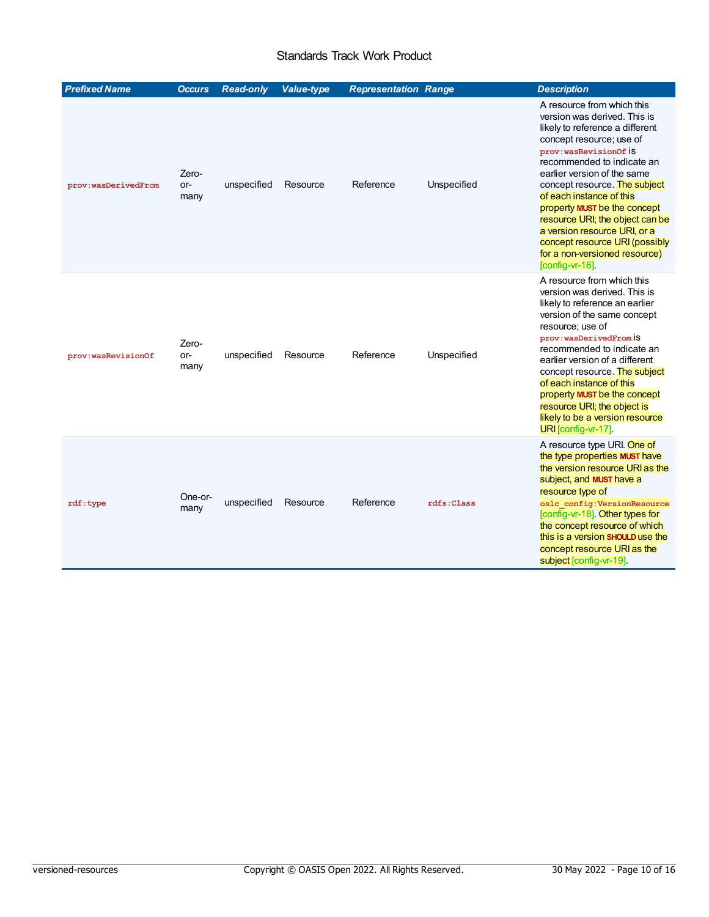### <span id="page-9-3"></span><span id="page-9-2"></span><span id="page-9-1"></span><span id="page-9-0"></span>Standards Track Work Product

| <b>Prefixed Name</b> | <b>Occurs</b>        | <b>Read-only</b> | <b>Value-type</b> | <b>Representation Range</b> |             | <b>Description</b>                                                                                                                                                                                                                                                                                                                                                                                                                                                       |
|----------------------|----------------------|------------------|-------------------|-----------------------------|-------------|--------------------------------------------------------------------------------------------------------------------------------------------------------------------------------------------------------------------------------------------------------------------------------------------------------------------------------------------------------------------------------------------------------------------------------------------------------------------------|
| prov:wasDerivedFrom  | Zero-<br>or-<br>many | unspecified      | Resource          | Reference                   | Unspecified | A resource from which this<br>version was derived. This is<br>likely to reference a different<br>concept resource; use of<br>prov:wasRevisionOf İS<br>recommended to indicate an<br>earlier version of the same<br>concept resource. The subject<br>of each instance of this<br>property MUST be the concept<br>resource URI; the object can be<br>a version resource URI, or a<br>concept resource URI (possibly<br>for a non-versioned resource)<br>$[config-vr-16]$ . |
| prov:wasRevisionOf   | Zero-<br>or-<br>many | unspecified      | Resource          | Reference                   | Unspecified | A resource from which this<br>version was derived. This is<br>likely to reference an earlier<br>version of the same concept<br>resource; use of<br>prov: wasDerivedFrom iS<br>recommended to indicate an<br>earlier version of a different<br>concept resource. The subject<br>of each instance of this<br>property MUST be the concept<br>resource URI; the object is<br>likely to be a version resource<br>URI [config-vr-17].                                         |
| rdf:type             | One-or-<br>many      | unspecified      | Resource          | Reference                   | rdfs:Class  | A resource type URI. One of<br>the type properties MUST have<br>the version resource URI as the<br>subject, and <b>MUST</b> have a<br>resource type of<br>oslc config: VersionResource<br>[config-vr-18]. Other types for<br>the concept resource of which<br>this is a version SHOULD use the<br>concept resource URI as the<br>subject [config-vr-19].                                                                                                                 |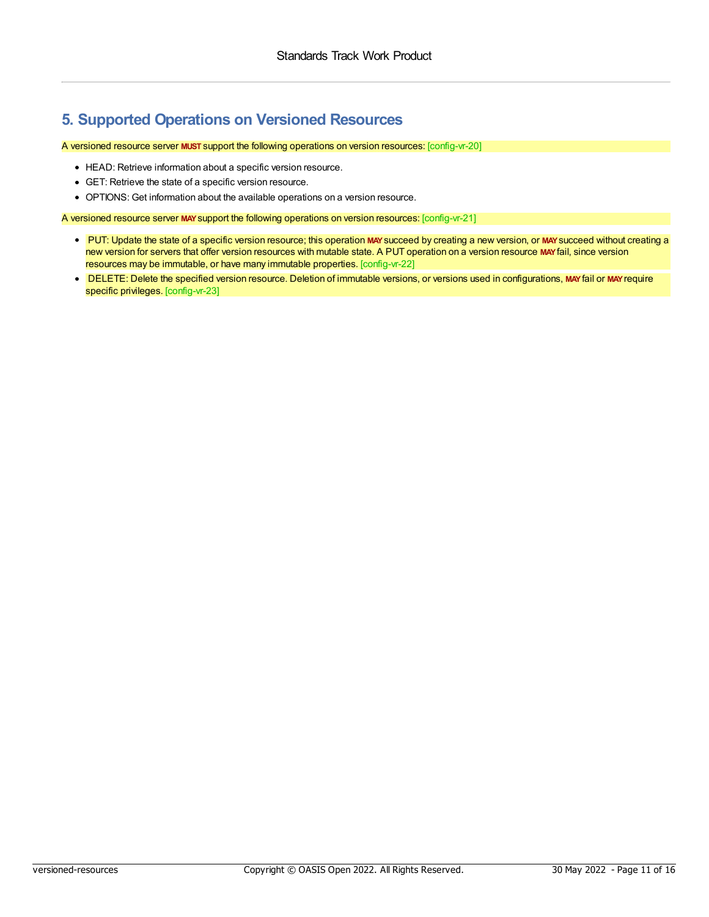### <span id="page-10-0"></span>**5. Supported Operations on Versioned Resources**

<span id="page-10-1"></span>A versioned resource server **MUST** support the following operations on version resources: [config-vr-20]

- HEAD: Retrieve information about a specific version resource.
- GET: Retrieve the state of a specific version resource.
- OPTIONS: Get information about the available operations on a version resource.

<span id="page-10-2"></span>A versioned resource server **MAY**support the following operations on version resources: [config-vr-21]

- <span id="page-10-3"></span>PUT: Update the state of a specific version resource; this operation **MAY**succeed by creating a new version, or **MAY**succeed without creating a new version for servers that offer version resources with mutable state. A PUT operation on a version resource **MAY**fail, since version resources may be immutable, or have many immutable properties. [config-vr-22]
- <span id="page-10-4"></span>• DELETE: Delete the specified version resource. Deletion of immutable versions, or versions used in configurations, MAY fail or MAY require specific privileges. [config-vr-23]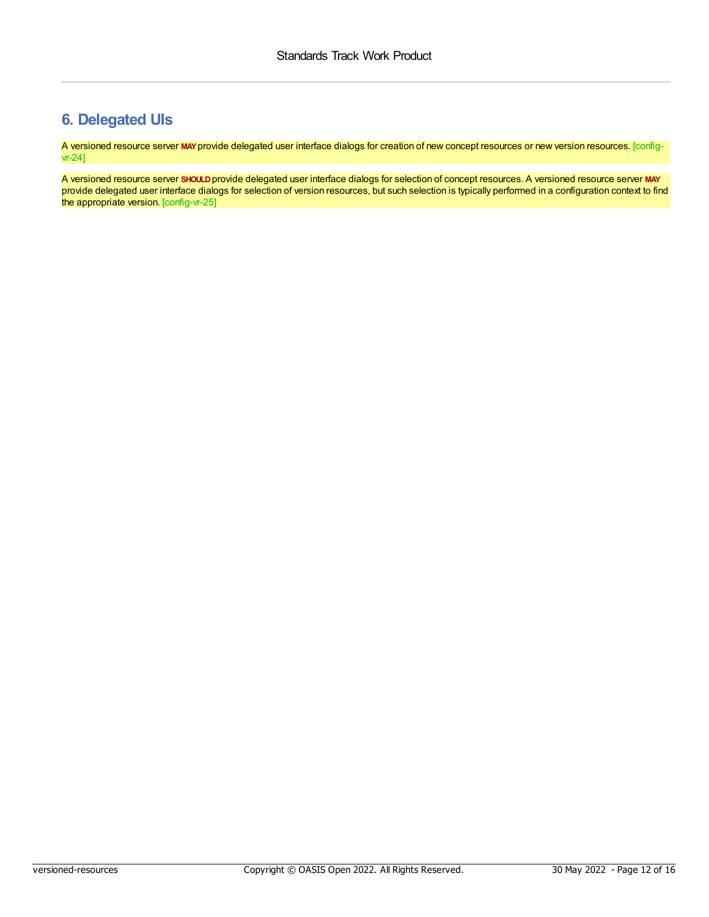# <span id="page-11-0"></span>**6. Delegated UIs**

<span id="page-11-1"></span>A versioned resource server **MAY**provide delegated user interface dialogs for creation of new concept resources or new version resources. [configvr-24]

<span id="page-11-2"></span>A versioned resource server **SHOULD**provide delegated user interface dialogs for selection of concept resources. A versioned resource server **MAY** provide delegated user interface dialogs for selection of version resources, but such selection is typically performed in a configuration context to find the appropriate version. [config-vr-25]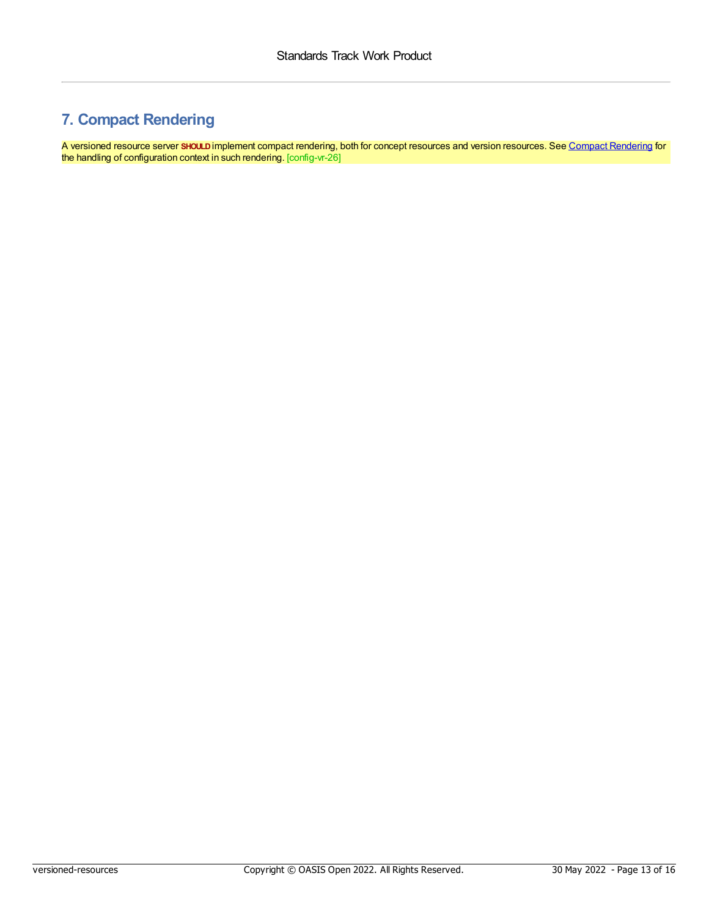# <span id="page-12-0"></span>**7. Compact Rendering**

<span id="page-12-1"></span>A versioned resource server **SHOULD**implement compact rendering, both for concept resources and version resources. See Compact [Rendering](https://docs.oasis-open-projects.org/oslc-op/config/v1.0/ps01/config-resources.html#compact) for the handling of configuration context in such rendering. [config-vr-26]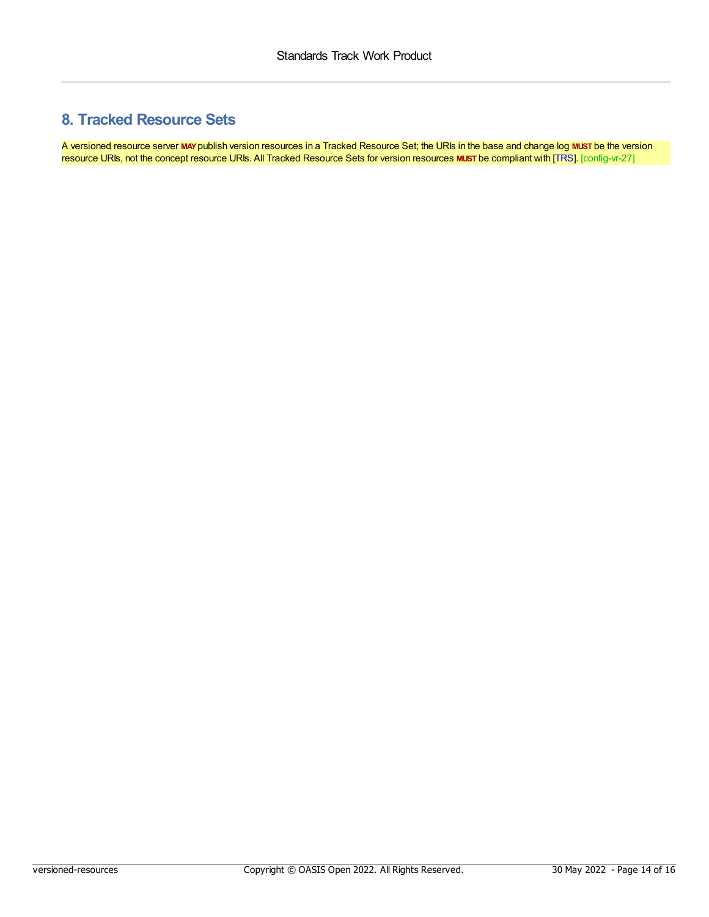# <span id="page-13-0"></span>**8. Tracked Resource Sets**

<span id="page-13-1"></span>A versioned resource server **MAY**publish version resources in a Tracked Resource Set; the URIs in the base and change log **MUST** be the version resource URIs, not the concept resource URIs. All Tracked Resource Sets for version resources **MUST** be compliant with [\[TRS](#page-4-7)]. [config-vr-27]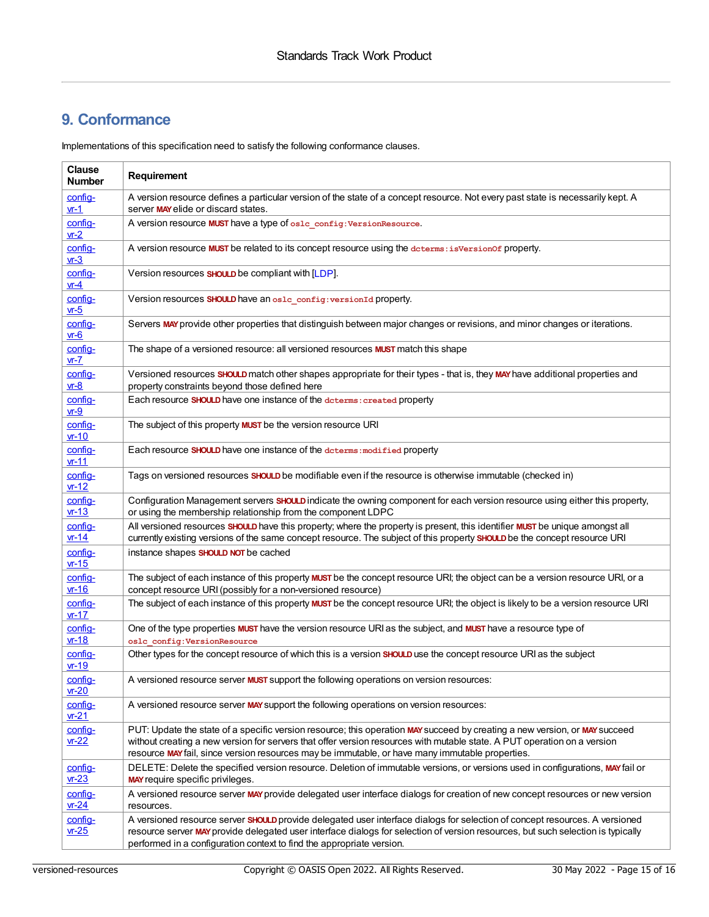# <span id="page-14-0"></span>**9. Conformance**

Implementations of this specification need to satisfy the following conformance clauses.

| <b>Clause</b><br><b>Number</b> | Requirement                                                                                                                                                                                                                                                                                                                                               |
|--------------------------------|-----------------------------------------------------------------------------------------------------------------------------------------------------------------------------------------------------------------------------------------------------------------------------------------------------------------------------------------------------------|
| config-<br>$vr-1$              | A version resource defines a particular version of the state of a concept resource. Not every past state is necessarily kept. A<br>server MAY elide or discard states.                                                                                                                                                                                    |
| config-<br>$vr-2$              | A version resource MUST have a type of oslc_config: VersionResource.                                                                                                                                                                                                                                                                                      |
| config-<br>$vr-3$              | A version resource MUST be related to its concept resource using the determs: is VersionOf property.                                                                                                                                                                                                                                                      |
| config-<br>$vr-4$              | Version resources <b>SHOULD</b> be compliant with [LDP].                                                                                                                                                                                                                                                                                                  |
| config-<br>$vr-5$              | Version resources SHOULD have an oslc_config: versionId property.                                                                                                                                                                                                                                                                                         |
| config-<br>$vr-6$              | Servers MAY provide other properties that distinguish between major changes or revisions, and minor changes or iterations.                                                                                                                                                                                                                                |
| config-<br>$vr - 7$            | The shape of a versioned resource: all versioned resources <b>MUST</b> match this shape                                                                                                                                                                                                                                                                   |
| config-<br>$vr-8$              | Versioned resources SHOULD match other shapes appropriate for their types - that is, they MAY have additional properties and<br>property constraints beyond those defined here                                                                                                                                                                            |
| config-<br>$vr-9$              | Each resource SHOULD have one instance of the determs: created property                                                                                                                                                                                                                                                                                   |
| config-<br>$vr-10$             | The subject of this property MUST be the version resource URI                                                                                                                                                                                                                                                                                             |
| config-<br>$vr-11$             | Each resource SHOULD have one instance of the determs: modified property                                                                                                                                                                                                                                                                                  |
| config-<br>$vr-12$             | Tags on versioned resources SHOULD be modifiable even if the resource is otherwise immutable (checked in)                                                                                                                                                                                                                                                 |
| config-<br>$vr-13$             | Configuration Management servers SHOULD indicate the owning component for each version resource using either this property,<br>or using the membership relationship from the component LDPC                                                                                                                                                               |
| config-<br>$vr-14$             | All versioned resources <i>SHOULD</i> have this property; where the property is present, this identifier <b>MUST</b> be unique amongst all<br>currently existing versions of the same concept resource. The subject of this property SHOULD be the concept resource URI                                                                                   |
| config-<br>$vr-15$             | instance shapes SHOULD NOT be cached                                                                                                                                                                                                                                                                                                                      |
| config-<br>$vr-16$             | The subject of each instance of this property MUST be the concept resource URI; the object can be a version resource URI, or a<br>concept resource URI (possibly for a non-versioned resource)                                                                                                                                                            |
| config-<br>$vr-17$             | The subject of each instance of this property MUST be the concept resource URI; the object is likely to be a version resource URI                                                                                                                                                                                                                         |
| config-<br>$vr-18$             | One of the type properties MUST have the version resource URI as the subject, and MUST have a resource type of<br>oslc config: VersionResource                                                                                                                                                                                                            |
| config-<br>$vr-19$             | Other types for the concept resource of which this is a version SHOULD use the concept resource URI as the subject                                                                                                                                                                                                                                        |
| config-<br>$vr-20$             | A versioned resource server MUST support the following operations on version resources:                                                                                                                                                                                                                                                                   |
| config-<br>$vr-21$             | A versioned resource server MAY support the following operations on version resources:                                                                                                                                                                                                                                                                    |
| config-<br>$vr-22$             | PUT: Update the state of a specific version resource; this operation MAY succeed by creating a new version, or MAY succeed<br>without creating a new version for servers that offer version resources with mutable state. A PUT operation on a version<br>resource MAY fail, since version resources may be immutable, or have many immutable properties. |
| config-<br>$vr-23$             | DELETE: Delete the specified version resource. Deletion of immutable versions, or versions used in configurations, MAY fail or<br><b>MAY</b> require specific privileges.                                                                                                                                                                                 |
| config-<br>$vr-24$             | A versioned resource server MAY provide delegated user interface dialogs for creation of new concept resources or new version<br>resources.                                                                                                                                                                                                               |
| config-<br>$-25$               | A versioned resource server SHOULD provide delegated user interface dialogs for selection of concept resources. A versioned<br>resource server MAY provide delegated user interface dialogs for selection of version resources, but such selection is typically<br>performed in a configuration context to find the appropriate version.                  |